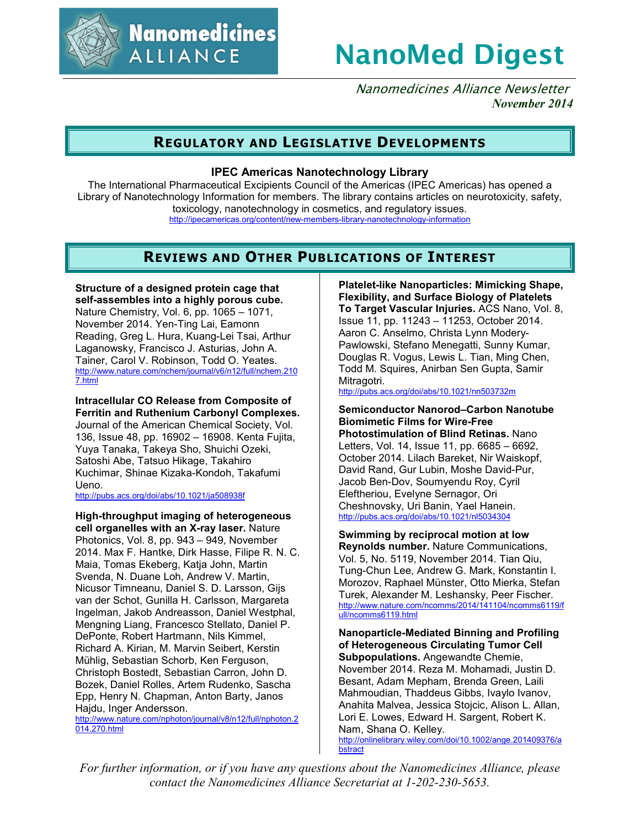

# **NanoMed Digest**

Nanomedicines Alliance Newsletter *November 2014*

# **REGULATORY AND LEGISLATIVE DEVELOPMENTS**

### **IPEC Americas Nanotechnology Library**

The International Pharmaceutical Excipients Council of the Americas (IPEC Americas) has opened a Library of Nanotechnology Information for members. The library contains articles on neurotoxicity, safety, toxicology, nanotechnology in cosmetics, and regulatory issues. http://ipecamericas.org/content/new-members-library-nanotechnology-information

# **REVIEWS AND OTHER PUBLICATIONS OF INTEREST**

**Structure of a designed protein cage that self-assembles into a highly porous cube.** Nature Chemistry, Vol. 6, pp. 1065 – 1071, November 2014. Yen-Ting Lai, Eamonn Reading, Greg L. Hura, Kuang-Lei Tsai, Arthur Laganowsky, Francisco J. Asturias, John A. Tainer, Carol V. Robinson, Todd O. Yeates. http://www.nature.com/nchem/journal/v6/n12/full/nchem.210 7.html

### **Intracellular CO Release from Composite of Ferritin and Ruthenium Carbonyl Complexes.**

Journal of the American Chemical Society, Vol. 136, Issue 48, pp. 16902 – 16908. Kenta Fujita, Yuya Tanaka, Takeya Sho, Shuichi Ozeki, Satoshi Abe, Tatsuo Hikage, Takahiro Kuchimar, Shinae Kizaka-Kondoh, Takafumi Ueno.

http://pubs.acs.org/doi/abs/10.1021/ja508938f

# **High-throughput imaging of heterogeneous**

**cell organelles with an X-ray laser.** Nature Photonics, Vol. 8, pp. 943 – 949, November 2014. Max F. Hantke, Dirk Hasse, Filipe R. N. C. Maia, Tomas Ekeberg, Katja John, Martin Svenda, N. Duane Loh, Andrew V. Martin, Nicusor Timneanu, Daniel S. D. Larsson, Gijs van der Schot, Gunilla H. Carlsson, Margareta Ingelman, Jakob Andreasson, Daniel Westphal, Mengning Liang, Francesco Stellato, Daniel P. DePonte, Robert Hartmann, Nils Kimmel, Richard A. Kirian, M. Marvin Seibert, Kerstin Mühlig, Sebastian Schorb, Ken Ferguson, Christoph Bostedt, Sebastian Carron, John D. Bozek, Daniel Rolles, Artem Rudenko, Sascha Epp, Henry N. Chapman, Anton Barty, Janos Hajdu, Inger Andersson.

http://www.nature.com/nphoton/journal/v8/n12/full/nphoton.2 014.270.html

**Platelet-like Nanoparticles: Mimicking Shape, Flexibility, and Surface Biology of Platelets To Target Vascular Injuries.** ACS Nano, Vol. 8, Issue 11, pp. 11243 – 11253, October 2014. Aaron C. Anselmo, Christa Lynn Modery-Pawlowski, Stefano Menegatti, Sunny Kumar, Douglas R. Vogus, Lewis L. Tian, Ming Chen, Todd M. Squires, Anirban Sen Gupta, Samir Mitragotri.

http://pubs.acs.org/doi/abs/10.1021/nn503732m

**Semiconductor Nanorod–Carbon Nanotube Biomimetic Films for Wire-Free Photostimulation of Blind Retinas.** Nano Letters, Vol. 14, Issue 11, pp. 6685 – 6692, October 2014. Lilach Bareket, Nir Waiskopf, David Rand, Gur Lubin, Moshe David-Pur, Jacob Ben-Dov, Soumyendu Roy, Cyril Eleftheriou, Evelyne Sernagor, Ori Cheshnovsky, Uri Banin, Yael Hanein. http://pubs.acs.org/doi/abs/10.1021/nl5034304

**Swimming by reciprocal motion at low Reynolds number.** Nature Communications, Vol. 5, No. 5119, November 2014. Tian Qiu, Tung-Chun Lee, Andrew G. Mark, Konstantin I. Morozov, Raphael Münster, Otto Mierka, Stefan Turek, Alexander M. Leshansky, Peer Fischer. http://www.nature.com/ncomms/2014/141104/ncomms6119/f ull/ncomms6119.html

**Nanoparticle-Mediated Binning and Profiling of Heterogeneous Circulating Tumor Cell Subpopulations.** Angewandte Chemie, November 2014. Reza M. Mohamadi, Justin D. Besant, Adam Mepham, Brenda Green, Laili Mahmoudian, Thaddeus Gibbs, Ivaylo Ivanov, Anahita Malvea, Jessica Stojcic, Alison L. Allan, Lori E. Lowes, Edward H. Sargent, Robert K. Nam, Shana O. Kelley. http://onlinelibrary.wiley.com/doi/10.1002/ange.201409376/a **b**stract

*For further information, or if you have any questions about the Nanomedicines Alliance, please contact the Nanomedicines Alliance Secretariat at 1-202-230-5653.*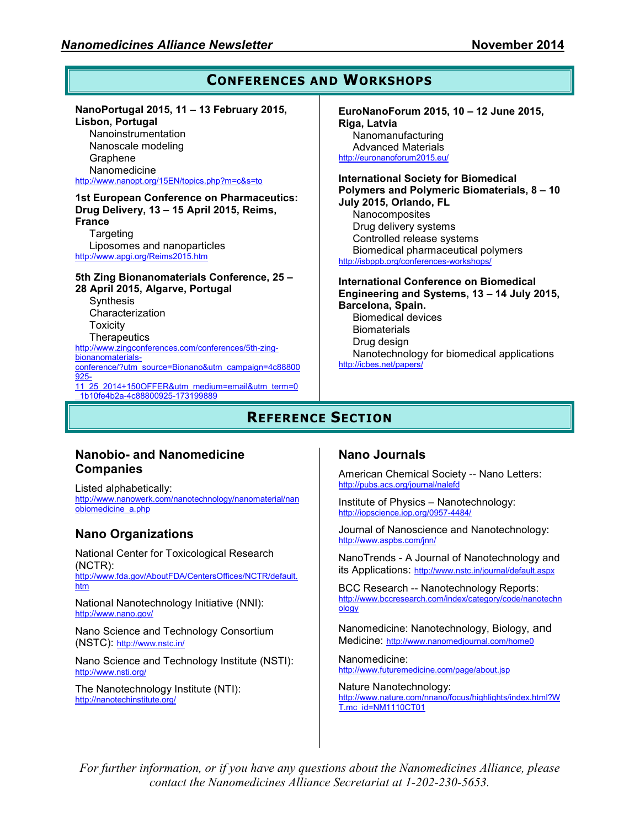#### **CONFERENCES AND WORKSHOPS NanoPortugal 2015, 11 – 13 February 2015, Lisbon, Portugal**  Nanoinstrumentation Nanoscale modeling Graphene Nanomedicine http://www.nanopt.org/15EN/topics.php?m=c&s=to **1st European Conference on Pharmaceutics: Drug Delivery, 13 – 15 April 2015, Reims, France Targeting** Liposomes and nanoparticles http://www.apgi.org/Reims2015.htm **5th Zing Bionanomaterials Conference, 25 – 28 April 2015, Algarve, Portugal Synthesis** Characterization **Toxicity Therapeutics** http://www.zingconferences.com/conferences/5th-zingbionanomaterialsconference/?utm\_source=Bionano&utm\_campaign=4c88800 925- 11\_25\_2014+150OFFER&utm\_medium=email&utm\_term=0 **EuroNanoForum 2015, 10 – 12 June 2015, Riga, Latvia**  Nanomanufacturing Advanced Materials http://euronanoforum2015.eu/ **International Society for Biomedical Polymers and Polymeric Biomaterials, 8 – 10 July 2015, Orlando, FL**  Nanocomposites Drug delivery systems Controlled release systems Biomedical pharmaceutical polymers http://isbppb.org/conferences-workshops/ **International Conference on Biomedical Engineering and Systems, 13 – 14 July 2015, Barcelona, Spain.**  Biomedical devices **Biomaterials** Drug design Nanotechnology for biomedical applications http://icbes.net/papers/

**REFERENCE SECTION**

### **Nanobio- and Nanomedicine Companies**

\_1b10fe4b2a-4c88800925-173199889

Listed alphabetically: http://www.nanowerk.com/nanotechnology/nanomaterial/nan obiomedicine\_a.php

# **Nano Organizations**

National Center for Toxicological Research (NCTR):

http://www.fda.gov/AboutFDA/CentersOffices/NCTR/default. htm

National Nanotechnology Initiative (NNI): http://www.nano.gov/

Nano Science and Technology Consortium (NSTC): http://www.nstc.in/

Nano Science and Technology Institute (NSTI): http://www.nsti.org/

The Nanotechnology Institute (NTI): http://nanotechinstitute.org/

## **Nano Journals**

American Chemical Society -- Nano Letters: http://pubs.acs.org/journal/nalefd

Institute of Physics – Nanotechnology: http://iopscience.iop.org/0957-4484/

Journal of Nanoscience and Nanotechnology: http://www.aspbs.com/jnn/

NanoTrends - A Journal of Nanotechnology and its Applications: http://www.nstc.in/journal/default.aspx

BCC Research -- Nanotechnology Reports: http://www.bccresearch.com/index/category/code/nanotechn ology

Nanomedicine: Nanotechnology, Biology, and Medicine: http://www.nanomedjournal.com/home0

Nanomedicine: http://www.futuremedicine.com/page/about.jsp

Nature Nanotechnology: http://www.nature.com/nnano/focus/highlights/index.html?W T.mc\_id=NM1110CT01

*For further information, or if you have any questions about the Nanomedicines Alliance, please contact the Nanomedicines Alliance Secretariat at 1-202-230-5653.*